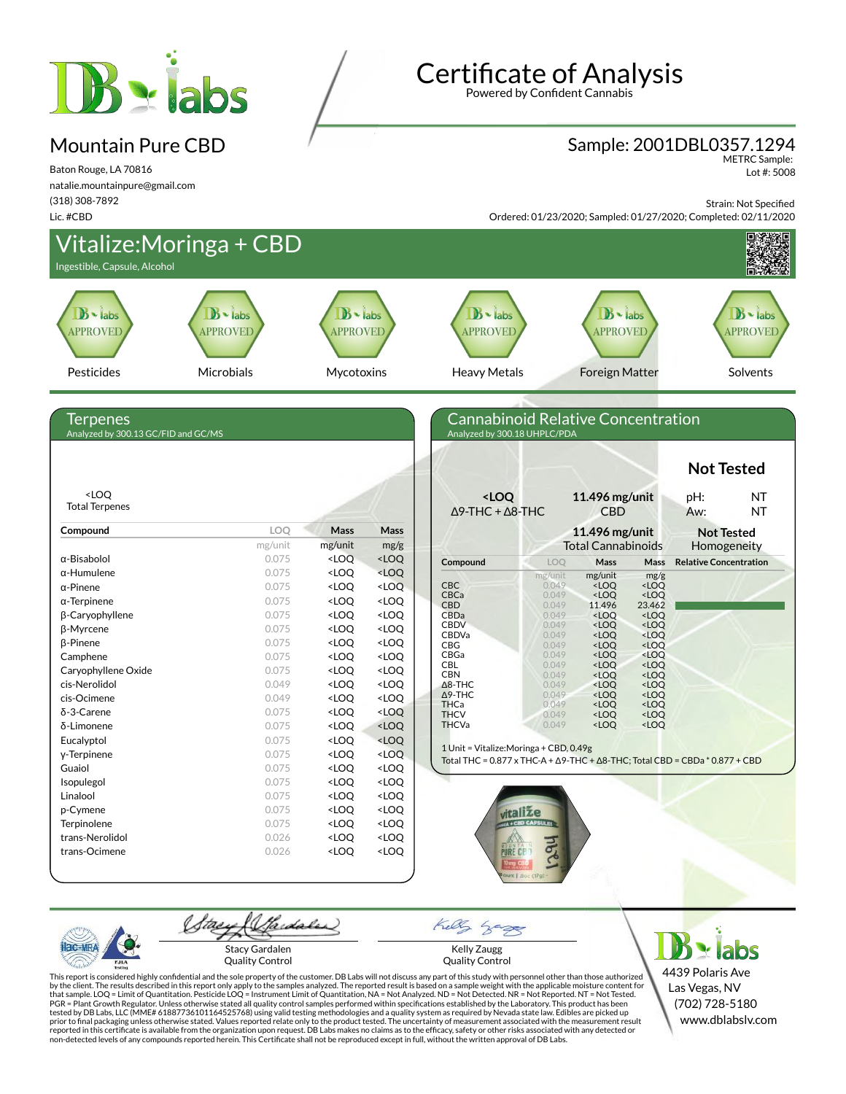# $B \cdot$  labs

## Mountain Pure CBD

Baton Rouge, LA 70816 natalie.mountainpure@gmail.com (318) 308-7892 Lic. #CBD

## Certificate of Analysis

Powered by Confident Cannabis

#### Sample: 2001DBL0357.1294

METRC Sample: Lot #: 5008

Strain: Not Specified

Ordered: 01/23/2020; Sampled: 01/27/2020; Completed: 02/11/2020



Quality Control

Kelly Zaugg Quality Control

4439 Polaris Ave Las Vegas, NV (702) 728-5180 www.dblabslv.com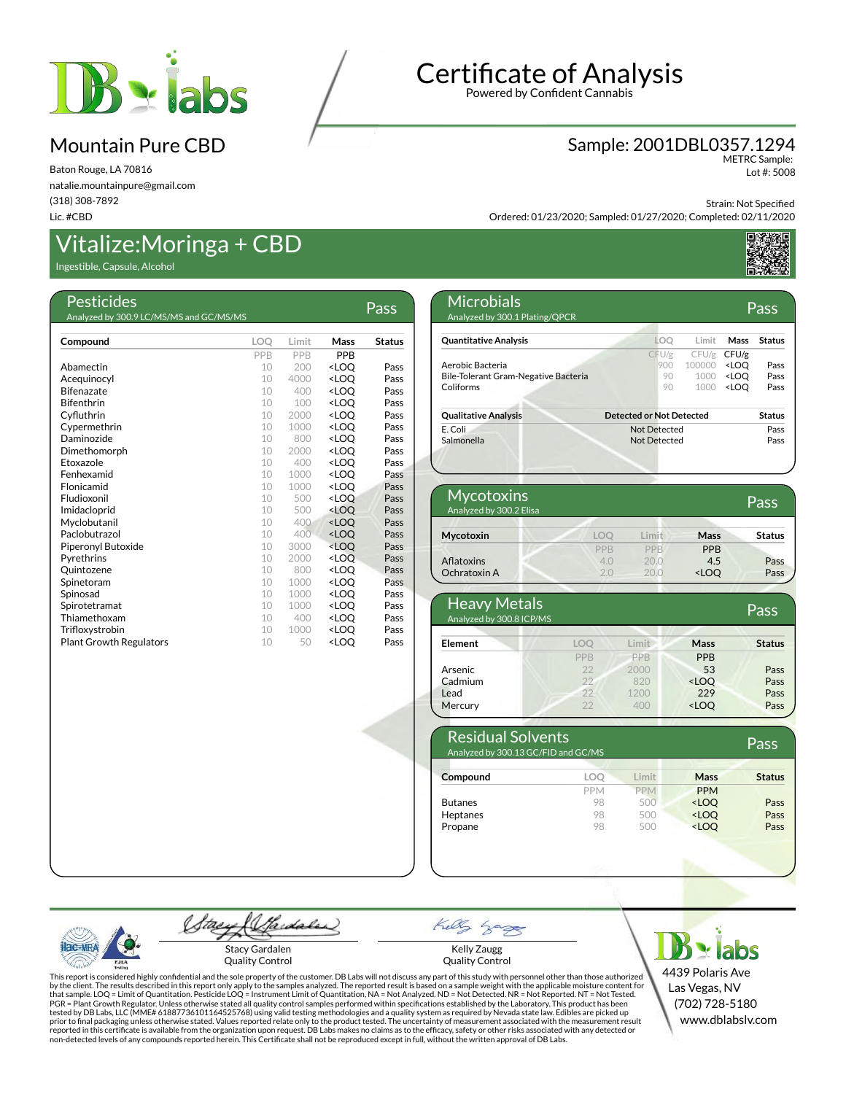

Baton Rouge, LA 70816 natalie.mountainpure@gmail.com (318) 308-7892 Lic. #CBD

## Vitalize:Moringa + CBD

Ingestible, Capsule, Alcohol

| Pesticides                              |            |       |                                  | Pass          |
|-----------------------------------------|------------|-------|----------------------------------|---------------|
| Analyzed by 300.9 LC/MS/MS and GC/MS/MS |            |       |                                  |               |
| Compound                                | <b>LOO</b> | Limit | Mass                             | <b>Status</b> |
|                                         | PPB        | PPB   | <b>PPR</b>                       |               |
| Abamectin                               | 10         | 200   | <loo< th=""><th>Pass</th></loo<> | Pass          |
| Acequinocyl                             | 10         | 4000  | <loo< th=""><th>Pass</th></loo<> | Pass          |
| <b>Bifenazate</b>                       | 10         | 400   | <loo< th=""><th>Pass</th></loo<> | Pass          |
| <b>Bifenthrin</b>                       | 10         | 100   | <loo< th=""><th>Pass</th></loo<> | Pass          |
| Cyfluthrin                              | 10         | 2000  | <loo< th=""><th>Pass</th></loo<> | Pass          |
| Cypermethrin                            | 10         | 1000  | <loo< th=""><th>Pass</th></loo<> | Pass          |
| Daminozide                              | 10         | 800   | <loo< td=""><td>Pass</td></loo<> | Pass          |
| Dimethomorph                            | 10         | 2000  | <loq< th=""><th>Pass</th></loq<> | Pass          |
| Etoxazole                               | 10         | 400   | <loo< th=""><th>Pass</th></loo<> | Pass          |
| Fenhexamid                              | 10         | 1000  | <loo< th=""><th>Pass</th></loo<> | Pass          |
| Flonicamid                              | 10         | 1000  | <loo< th=""><th>Pass</th></loo<> | Pass          |
| Fludioxonil                             | 10         | 500   | <loo< th=""><th>Pass</th></loo<> | Pass          |
| Imidacloprid                            | 10         | 500   | <loo< th=""><th>Pass</th></loo<> | Pass          |
| Myclobutanil                            | 10         | 400   | <loo< th=""><th>Pass</th></loo<> | Pass          |
| Paclobutrazol                           | 10         | 400   | <loo< th=""><th>Pass</th></loo<> | Pass          |
| Piperonyl Butoxide                      | 10         | 3000  | <loq< th=""><th>Pass</th></loq<> | Pass          |
| Pyrethrins                              | 10         | 2000  | <loo< th=""><th>Pass</th></loo<> | Pass          |
| Ouintozene                              | 10         | 800   | <loo< th=""><th>Pass</th></loo<> | Pass          |
| Spinetoram                              | 10         | 1000  | <loo< th=""><th>Pass</th></loo<> | Pass          |
| Spinosad                                | 10         | 1000  | <loo< th=""><th>Pass</th></loo<> | Pass          |
| Spirotetramat                           | 10         | 1000  | <loo< th=""><th>Pass</th></loo<> | Pass          |
| Thiamethoxam                            | 10         | 400   | <loo< th=""><th>Pass</th></loo<> | Pass          |
| Trifloxystrobin                         | 10         | 1000  | <loo< th=""><th>Pass</th></loo<> | Pass          |
| <b>Plant Growth Regulators</b>          | 10         | 50    | <loo< th=""><th>Pass</th></loo<> | Pass          |
|                                         |            |       |                                  |               |

## Certificate of Analysis

Powered by Confident Cannabis

#### Sample: 2001DBL0357.1294

METRC Sample: Lot #: 5008

Strain: Not Specified

Ordered: 01/23/2020; Sampled: 01/27/2020; Completed: 02/11/2020



| <b>Microbials</b><br>Analyzed by 300.1 Plating/QPCR |                                 |        |                                  | Pass          |
|-----------------------------------------------------|---------------------------------|--------|----------------------------------|---------------|
| <b>Quantitative Analysis</b>                        | LOO                             | I imit | Mass                             | <b>Status</b> |
|                                                     | CFU/g                           | CFU/g  | CFU/g                            |               |
| Aerobic Bacteria                                    | 900                             | 100000 | <loo< td=""><td>Pass</td></loo<> | Pass          |
| Bile-Tolerant Gram-Negative Bacteria                | 90                              | 1000   | <loo< td=""><td>Pass</td></loo<> | Pass          |
| Coliforms                                           | 90                              | 1000   | <loo< td=""><td>Pass</td></loo<> | Pass          |
| <b>Qualitative Analysis</b>                         | <b>Detected or Not Detected</b> |        |                                  | <b>Status</b> |
| E. Coli                                             | Not Detected                    |        |                                  | Pass          |
| Salmonella                                          | Not Detected                    |        |                                  | Pass          |

| <b>Mycotoxins</b><br>Analyzed by 300.2 Elisa |     |       |                                  | Pass          |
|----------------------------------------------|-----|-------|----------------------------------|---------------|
| Mycotoxin                                    | LOO | Limit | Mass                             | <b>Status</b> |
|                                              | PPB | PPB   | <b>PPB</b>                       |               |
| Aflatoxins                                   | 4.0 | 20.0  | 4.5                              | Pass          |
| Ochratoxin A                                 | 20  | 20.0  | <loo< td=""><td>Pass</td></loo<> | Pass          |

| <b>Heavy Metals</b><br>Analyzed by 300.8 ICP/MS |          |       |                                  | Pass          |
|-------------------------------------------------|----------|-------|----------------------------------|---------------|
| Element                                         | LOO      | Limit | Mass                             | <b>Status</b> |
|                                                 | PPB      | PPB   | <b>PPB</b>                       |               |
| Arsenic                                         | 22       | 2000  | 53                               | Pass          |
| Cadmium                                         | $22^{1}$ | 820   | $<$ LOQ                          | Pass          |
| Lead                                            | 22       | 1200  | 229                              | Pass          |
| Mercury                                         | 22       | 400   | <loo< td=""><td>Pass</td></loo<> | Pass          |

| <b>Residual Solvents</b><br>Analyzed by 300.13 GC/FID and GC/MS |            |            |                                         | Pass          |
|-----------------------------------------------------------------|------------|------------|-----------------------------------------|---------------|
| Compound                                                        | loo        | Limit      | Mass                                    | <b>Status</b> |
|                                                                 | <b>PPM</b> | <b>PPM</b> | <b>PPM</b>                              |               |
| <b>Butanes</b>                                                  | 98         | 500        | <loq< td=""><td><b>Pass</b></td></loq<> | <b>Pass</b>   |
| Heptanes                                                        | 98         | 500        | <loo< td=""><td>Pass</td></loo<>        | Pass          |
| Propane                                                         | 98         | 500        | <loo< td=""><td>Pass</td></loo<>        | Pass          |

Sadales tae Stacy Gardalen Quality Control

 $398$ Kelly Zaugg Quality Control

Kelly

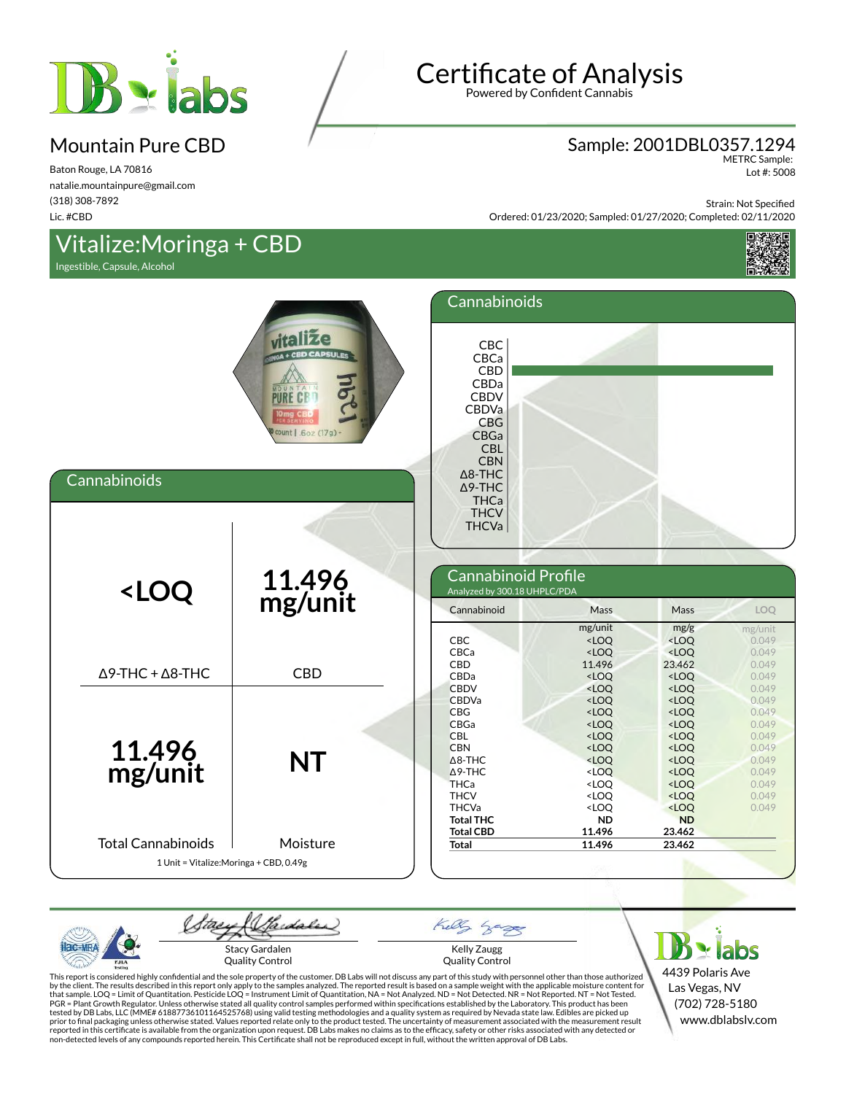

Baton Rouge, LA 70816 natalie.mountainpure@gmail.com (318) 308-7892 Lic. #CBD

## Vitalize:Moringa + CBD

Ingestible, Capsule, Alcohol



Powered by Confident Cannabis

#### Sample: 2001DBL0357.1294

METRC Sample: Lot #: 5008

Strain: Not Specified

Ordered: 01/23/2020; Sampled: 01/27/2020; Completed: 02/11/2020



| Cannabinoids                                                                                                                                                      | vitalize<br><b>ID CAPSULES</b><br>Lor<br>MOUNTA<br><b>PURE CB</b><br>count   .6oz (17g) - | Cannabinoids<br>CBC<br>CBCa<br><b>CBD</b><br>CBDa<br><b>CBDV</b><br>CBDVa<br>CBG<br>CBGa<br><b>CBL</b><br><b>CBN</b><br>$\Delta$ 8-THC<br>∆9-THC<br><b>THCa</b><br><b>THCV</b><br><b>THCVa</b>                    |                                                                                                                                                                                                                                                 |                                                                                                                                                                                                                                                                   |                                                                                                 |
|-------------------------------------------------------------------------------------------------------------------------------------------------------------------|-------------------------------------------------------------------------------------------|-------------------------------------------------------------------------------------------------------------------------------------------------------------------------------------------------------------------|-------------------------------------------------------------------------------------------------------------------------------------------------------------------------------------------------------------------------------------------------|-------------------------------------------------------------------------------------------------------------------------------------------------------------------------------------------------------------------------------------------------------------------|-------------------------------------------------------------------------------------------------|
| <loq< th=""><th>11.496<br/>mg/unit</th><th>Cannabinoid Profile<br/>Analyzed by 300.18 UHPLC/PDA<br/>Cannabinoid</th><th>Mass</th><th>Mass</th><th>LOQ</th></loq<> | 11.496<br>mg/unit                                                                         | Cannabinoid Profile<br>Analyzed by 300.18 UHPLC/PDA<br>Cannabinoid                                                                                                                                                | Mass                                                                                                                                                                                                                                            | Mass                                                                                                                                                                                                                                                              | LOQ                                                                                             |
| $\Delta$ 9-THC + $\Delta$ 8-THC                                                                                                                                   | <b>CBD</b>                                                                                | <b>CBC</b><br>CBCa<br>CBD<br>CBDa                                                                                                                                                                                 | mg/unit<br>$<$ LOQ<br>$<$ LOQ<br>11.496<br>$<$ LOQ                                                                                                                                                                                              | mg/g<br><loq<br><math>&lt;</math>LOQ<br/>23.462<br/><math>&lt;</math>LOQ</loq<br>                                                                                                                                                                                 | mg/unit<br>0.049<br>0.049<br>0.049<br>0.049                                                     |
| 11.496<br>mg/unit                                                                                                                                                 | <b>NT</b>                                                                                 | <b>CBDV</b><br><b>CBDVa</b><br><b>CBG</b><br><b>CBGa</b><br><b>CBL</b><br><b>CBN</b><br>$\triangle$ 8-THC<br>$\Delta$ 9-THC<br><b>THCa</b><br><b>THCV</b><br><b>THCVa</b><br><b>Total THC</b><br><b>Total CBD</b> | <loq<br><math>&lt;</math>LOQ<br/><math>&lt;</math>LOQ<br/><math>&lt;</math>LOQ<br/><math>&lt;</math>LOQ<br/><loq<br><loq<br><loq<br><loq<br><loq<br><loq<br><b>ND</b><br/>11.496</loq<br></loq<br></loq<br></loq<br></loq<br></loq<br></loq<br> | $<$ LOQ<br><loq<br><math>&lt;</math>LOQ<br/><loq<br><math>&lt;</math>LOQ<br/><math>&lt;</math>LOQ<br/><math>&lt;</math>LOQ<br/><math>&lt;</math>LOQ<br/><math>&lt;</math>LOQ<br/><loq<br><math>&lt;</math>LOQ<br/><b>ND</b><br/>23.462</loq<br></loq<br></loq<br> | 0.049<br>0.049<br>0.049<br>0.049<br>0.049<br>0.049<br>0.049<br>0.049<br>0.049<br>0.049<br>0.049 |
| <b>Total Cannabinoids</b>                                                                                                                                         | Moisture<br>1 Unit = Vitalize: Moringa + CBD, 0.49g                                       | Total                                                                                                                                                                                                             | 11.496                                                                                                                                                                                                                                          | 23.462                                                                                                                                                                                                                                                            |                                                                                                 |

Saidaler tae Kelly  $8 - 7$ Kelly Zaugg Stacy Gardalen Quality Control Quality Control

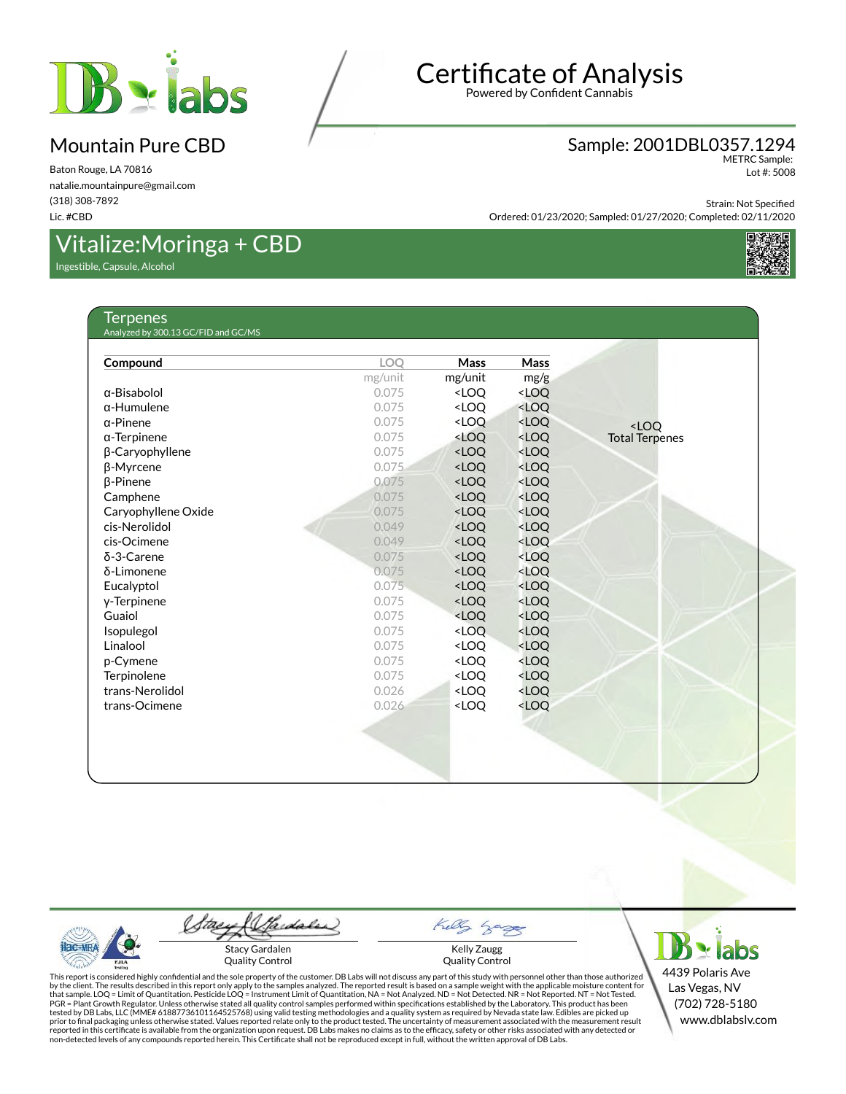

Baton Rouge, LA 70816 natalie.mountainpure@gmail.com (318) 308-7892 Lic. #CBD

## Vitalize:Moringa + CBD

Ingestible, Capsule, Alcohol

## Certificate of Analysis

Powered by Confident Cannabis

#### Sample: 2001DBL0357.1294

METRC Sample: Lot #: 5008

Strain: Not Specified

Ordered: 01/23/2020; Sampled: 01/27/2020; Completed: 02/11/2020



#### **Terpenes** Analyzed by 300.13 GC/FID and GC/MS

| Compound            | <b>LOO</b> | Mass                                                                          | Mass                                              |                       |
|---------------------|------------|-------------------------------------------------------------------------------|---------------------------------------------------|-----------------------|
|                     | mg/unit    | mg/unit                                                                       | mg/g                                              |                       |
| $\alpha$ -Bisabolol | 0.075      | <loq< th=""><th><loq< th=""><th></th></loq<></th></loq<>                      | <loq< th=""><th></th></loq<>                      |                       |
| $\alpha$ -Humulene  | 0.075      | <loq< th=""><th><loq< th=""><th></th></loq<></th></loq<>                      | <loq< th=""><th></th></loq<>                      |                       |
| $\alpha$ -Pinene    | 0.075      | <loq< th=""><th><loq< th=""><th><math>&lt;</math>LOO</th></loq<></th></loq<>  | <loq< th=""><th><math>&lt;</math>LOO</th></loq<>  | $<$ LOO               |
| $\alpha$ -Terpinene | 0.075      | <loq< th=""><th><loq< th=""><th><b>Total Terpenes</b></th></loq<></th></loq<> | <loq< th=""><th><b>Total Terpenes</b></th></loq<> | <b>Total Terpenes</b> |
| β-Caryophyllene     | 0.075      | <loq< th=""><th><loq< th=""><th></th></loq<></th></loq<>                      | <loq< th=""><th></th></loq<>                      |                       |
| β-Myrcene           | 0.075      | <loq< th=""><th><loq< th=""><th></th></loq<></th></loq<>                      | <loq< th=""><th></th></loq<>                      |                       |
| $\beta$ -Pinene     | 0.075      | <loq< th=""><th><loq< th=""><th></th></loq<></th></loq<>                      | <loq< th=""><th></th></loq<>                      |                       |
| Camphene            | 0.075      | <loo< th=""><th><math>&lt;</math>LOO</th><th></th></loo<>                     | $<$ LOO                                           |                       |
| Caryophyllene Oxide | 0.075      | <loq< th=""><th><loq< th=""><th></th></loq<></th></loq<>                      | <loq< th=""><th></th></loq<>                      |                       |
| cis-Nerolidol       | 0.049      | <loq< th=""><th><loq< th=""><th></th></loq<></th></loq<>                      | <loq< th=""><th></th></loq<>                      |                       |
| cis-Ocimene         | 0.049      | <loq< th=""><th><loq< th=""><th></th></loq<></th></loq<>                      | <loq< th=""><th></th></loq<>                      |                       |
| $\delta$ -3-Carene  | 0.075      | <loq< th=""><th><loq< th=""><th></th></loq<></th></loq<>                      | <loq< th=""><th></th></loq<>                      |                       |
| δ-Limonene          | 0.075      | <loq< th=""><th><loq< th=""><th></th></loq<></th></loq<>                      | <loq< th=""><th></th></loq<>                      |                       |
| Eucalyptol          | 0.075      | <loq< th=""><th><loq< th=""><th></th></loq<></th></loq<>                      | <loq< th=""><th></th></loq<>                      |                       |
| y-Terpinene         | 0.075      | <loq< th=""><th><loq< th=""><th></th></loq<></th></loq<>                      | <loq< th=""><th></th></loq<>                      |                       |
| Guaiol              | 0.075      | <loq< th=""><th><loq< th=""><th></th></loq<></th></loq<>                      | <loq< th=""><th></th></loq<>                      |                       |
| Isopulegol          | 0.075      | <loq< th=""><th><loq< th=""><th></th></loq<></th></loq<>                      | <loq< th=""><th></th></loq<>                      |                       |
| Linalool            | 0.075      | <loq< th=""><th><loq< th=""><th></th></loq<></th></loq<>                      | <loq< th=""><th></th></loq<>                      |                       |
| p-Cymene            | 0.075      | <loq< th=""><th><loq< th=""><th></th></loq<></th></loq<>                      | <loq< th=""><th></th></loq<>                      |                       |
| Terpinolene         | 0.075      | <loq< th=""><th><loq< th=""><th></th></loq<></th></loq<>                      | <loq< th=""><th></th></loq<>                      |                       |
| trans-Nerolidol     | 0.026      | <loq< th=""><th><loq< th=""><th></th></loq<></th></loq<>                      | <loq< th=""><th></th></loq<>                      |                       |
| trans-Ocimene       | 0.026      | <loq< th=""><th><loq< th=""><th></th></loq<></th></loq<>                      | <loq< th=""><th></th></loq<>                      |                       |
|                     |            |                                                                               |                                                   |                       |
|                     |            |                                                                               |                                                   |                       |
|                     |            |                                                                               |                                                   |                       |
|                     |            |                                                                               |                                                   |                       |
|                     |            |                                                                               |                                                   |                       |
|                     |            |                                                                               |                                                   |                       |

Saidaler tae Stacy Gardalen Quality Control

 $8 - 78$ Kelly Zaugg Quality Control

Kelly

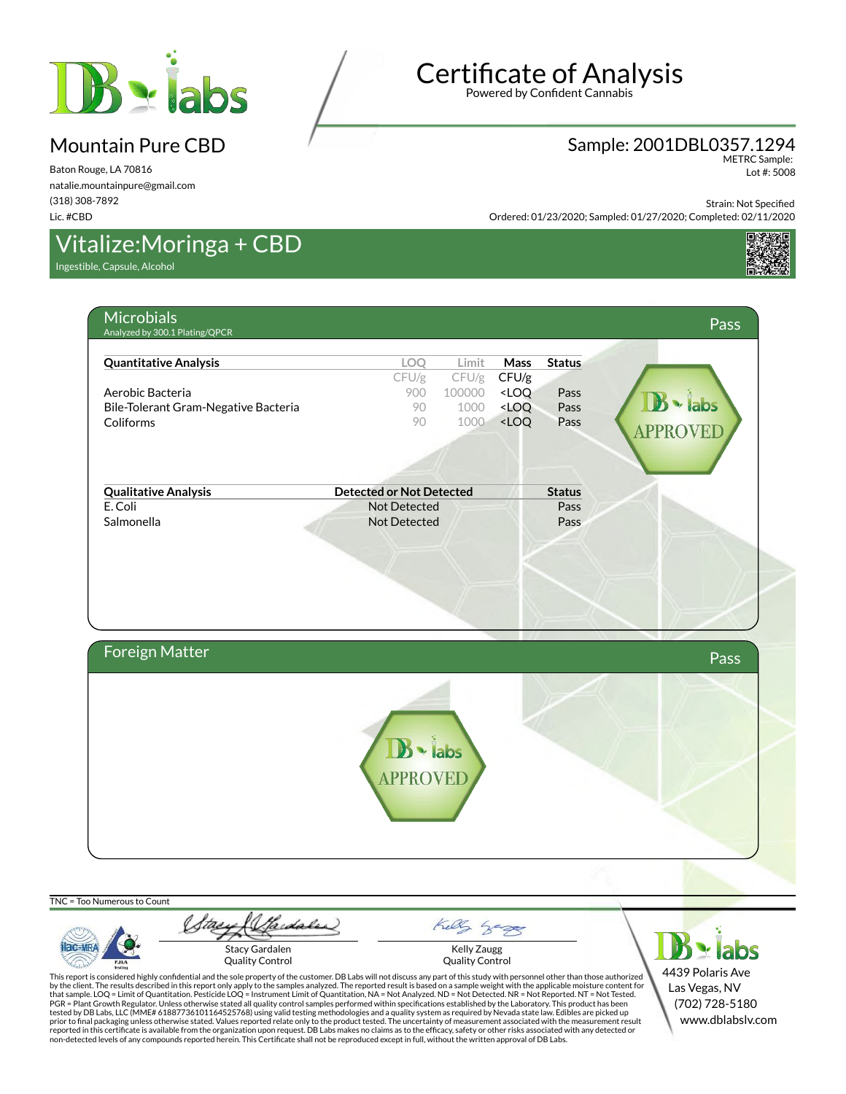

Baton Rouge, LA 70816 natalie.mountainpure@gmail.com (318) 308-7892 Lic. #CBD

## Vitalize:Moringa + CBD

Ingestible, Capsule, Alcohol

# Certificate of Analysis

Powered by Confident Cannabis

#### Sample: 2001DBL0357.1294

METRC Sample: Lot #: 5008

Strain: Not Specified

Ordered: 01/23/2020; Sampled: 01/27/2020; Completed: 02/11/2020



# **Microbials** Analyzed by 300.1 Plating/QPCR Pass **Quantitative Analysis LOQ Limit Mass Status** CFU/g CFU/g CFU/g Aerobic Bacteria **Australia** 200 100000 <LOQ Pass **abs** Bile-Tolerant Gram-Negative Bacteria 1900 1000 <LOQ Pass Coliforms 90 1000 <LOQ Pass **PPROVED Qualitative Analysis Detected or Not Detected Status** E. Coli Pass and Collected Pass and Collected Pass and Pass and Pass and Pass and Pass and Pass and Pass and Pass and Pass and Pass and Pass and Pass and Pass and Pass and Pass and Pass and Pass and Pass and Pass and Pass Salmonella Not Detected Pass Foreign Matter Pass and the Community of the Community of the Community of the Community of the Pass labs **APPROVEI**

TNC = Too Numerous to Count

Sadales Kelly  $\mathbf{B}$  - labs Stacy Gardalen Kelly Zaugg Quality Control Quality Control PJL/

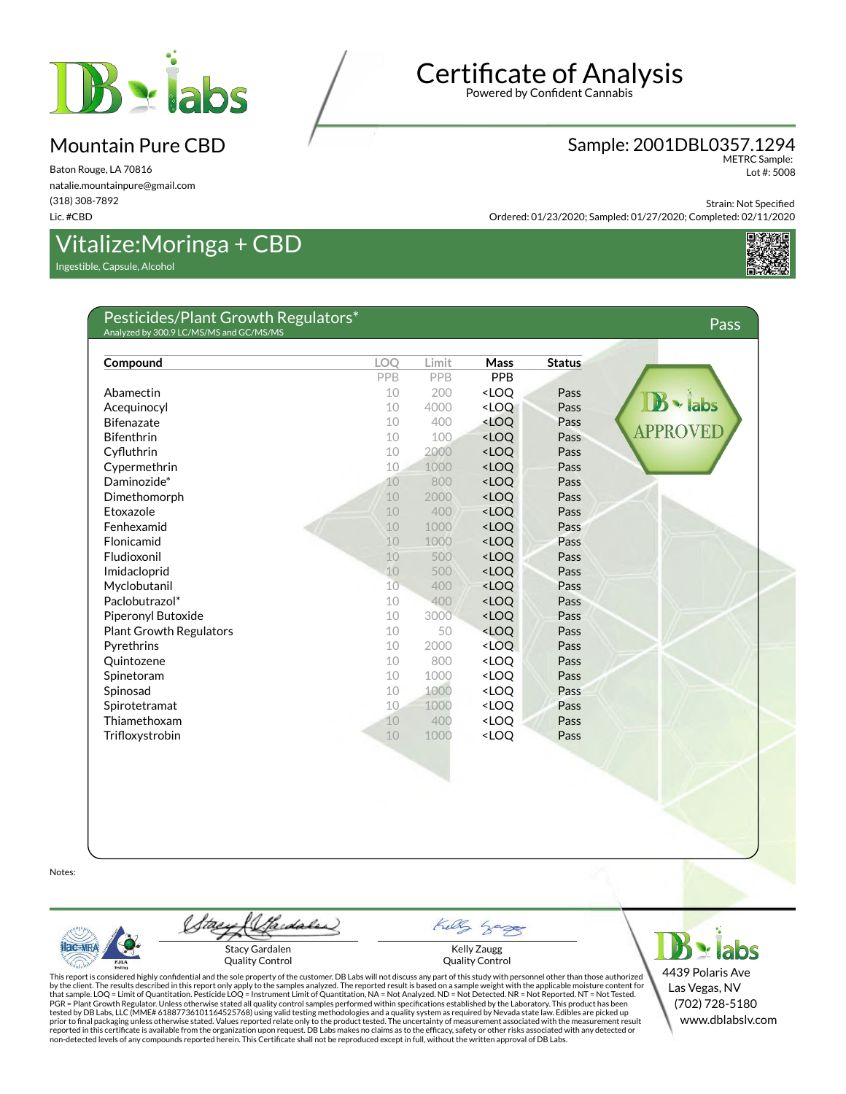

Baton Rouge, LA 70816 natalie.mountainpure@gmail.com (318) 308-7892 Lic. #CBD

## Vitalize:Moringa + CBD

Ingestible, Capsule, Alcohol

## Certificate of Analysis

Powered by Confident Cannabis

#### Sample: 2001DBL0357.1294

METRC Sample: Lot #: 5008

Strain: Not Specified

Ordered: 01/23/2020; Sampled: 01/27/2020; Completed: 02/11/2020



#### Pesticides/Plant Growth Regulators\* Analyzed by 300.9 LC/MS/MS and GC/MS/MS Pass **Compound LOQ Limit Mass Status** PPB PPB PPB Abamectin 10 200 <LOQ Pass labs Acequinocyl **Acequinocyl 10 4000 <LOQ Pass** Bifenazate 10 400 <LOQ Pass **PPROVED** Bifenthrin 200 and 200 and 200 and 200 and 200 and 200 and 200 and 200 and 201 and 201 and 201 and 201 and 201 CyØuthrin 10 2000 <LOQ Pass Cypermethrin 10 1000 <LOQ Pass Daminozide\* 10 800 <LOQ Pass Dimethomorph 10 2000 <LOQ Pass Etoxazole 10 400 <LOQ Pass Fenhexamid Pass and the Contract of the Contract of the Contract of the Pass Pass Flonicamid 10 1000 <LOQ Pass Fludioxonil 10 500 <LOQ Pass Imidacloprid 10 500 <LOQ Pass Myclobutanil 10 400 <LOQ Pass Paclobutrazol\* 10 400 <LOQ Pass Piperonyl Butoxide **10 3000 <LOQ** Pass Plant Growth Regulators 10 50 <LOQ Pass Pyrethrins **Properties** 2000 **CDQ** Pass Quintozene 10 800 <LOQ Pass Spinetoram 10 1000 <LOQ Pass Spinosad **10 1000 <LOQ** Pass Spirotetramat 10 1000 <LOQ Pass Thiamethoxam 10 400 <LOQ Pass Trifloxystrobin 10 1000 <LOQ Pass

Notes:

Gardales Stacy Gardalen Quality Control



 $B \times$ labs 4439 Polaris Ave Las Vegas, NV (702) 728-5180 www.dblabslv.com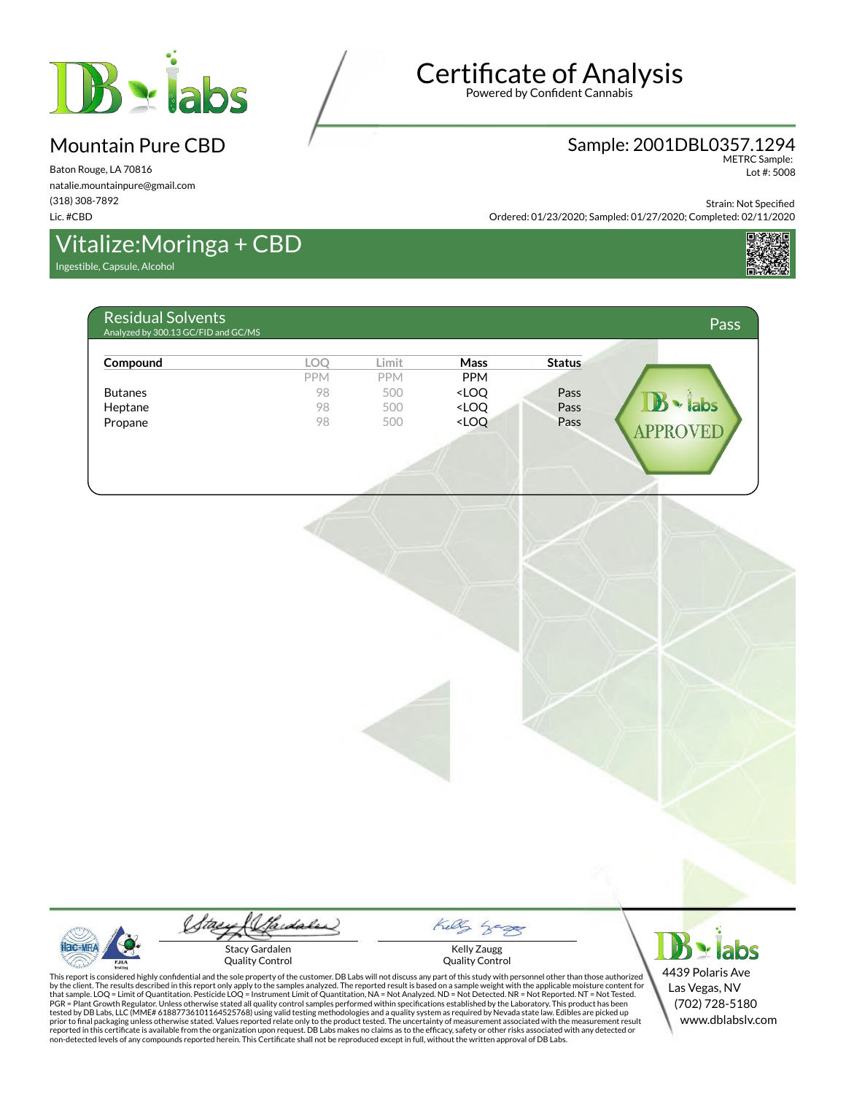

Baton Rouge, LA 70816 natalie.mountainpure@gmail.com (318) 308-7892 Lic. #CBD

## Vitalize:Moringa + CBD

Ingestible, Capsule, Alcohol

# Certificate of Analysis

Powered by Confident Cannabis

#### Sample: 2001DBL0357.1294 METRC Sample:

Lot #: 5008

Strain: Not Specified

Ordered: 01/23/2020; Sampled: 01/27/2020; Completed: 02/11/2020



#### Residual Solvents RESIQUAL SOLVETILS<br>Analyzed by 300.13 GC/FID and GC/MS Passed by 300.13 GC/FID and GC/MS Passed by 300.13 GC/FID and GC/MS **Compound LOQ Limit Mass Status** PPM **PPM** PPM Butanes 98 500 <LOQ Pass abs Heptane 200 98 500 <LOQ Pass Propane 200 98 500 <LOQ Pass **PPROVED**



Saidaler Stacy Gardalen Quality Control



 $\mathbf{B}$  - labs 4439 Polaris Ave Las Vegas, NV (702) 728-5180 www.dblabslv.com